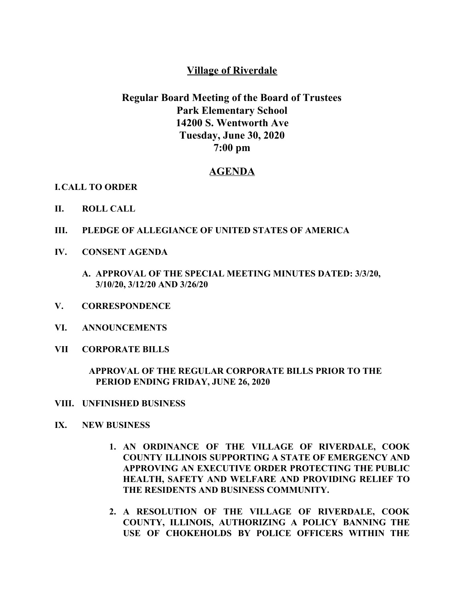## **Village of Riverdale**

# **Regular Board Meeting of the Board of Trustees Park Elementary School 14200 S. Wentworth Ave Tuesday, June 30, 2020 7:00 pm**

## **AGENDA**

### **I.CALL TO ORDER**

- **II. ROLL CALL**
- **III. PLEDGE OF ALLEGIANCE OF UNITED STATES OF AMERICA**
- **IV. CONSENT AGENDA**
	- **A. APPROVAL OF THE SPECIAL MEETING MINUTES DATED: 3/3/20, 3/10/20, 3/12/20 AND 3/26/20**
- **V. CORRESPONDENCE**
- **VI. ANNOUNCEMENTS**
- **VII CORPORATE BILLS**

### **APPROVAL OF THE REGULAR CORPORATE BILLS PRIOR TO THE PERIOD ENDING FRIDAY, JUNE 26, 2020**

- **VIII. UNFINISHED BUSINESS**
- **IX. NEW BUSINESS**
	- **1. AN ORDINANCE OF THE VILLAGE OF RIVERDALE, COOK COUNTY ILLINOIS SUPPORTING A STATE OF EMERGENCY AND APPROVING AN EXECUTIVE ORDER PROTECTING THE PUBLIC HEALTH, SAFETY AND WELFARE AND PROVIDING RELIEF TO THE RESIDENTS AND BUSINESS COMMUNITY.**
	- **2. A RESOLUTION OF THE VILLAGE OF RIVERDALE, COOK COUNTY, ILLINOIS, AUTHORIZING A POLICY BANNING THE USE OF CHOKEHOLDS BY POLICE OFFICERS WITHIN THE**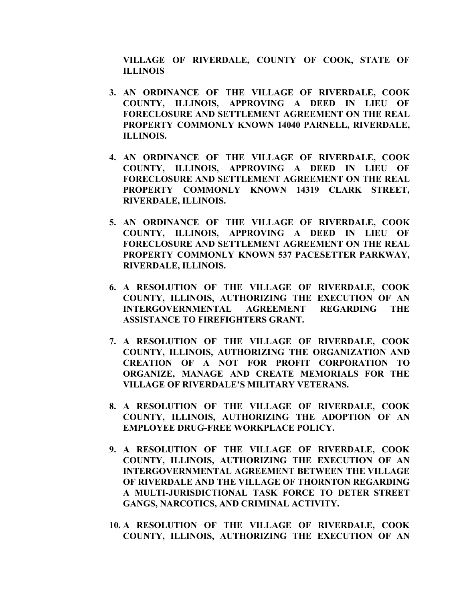**VILLAGE OF RIVERDALE, COUNTY OF COOK, STATE OF ILLINOIS**

- **3. AN ORDINANCE OF THE VILLAGE OF RIVERDALE, COOK COUNTY, ILLINOIS, APPROVING A DEED IN LIEU OF FORECLOSURE AND SETTLEMENT AGREEMENT ON THE REAL PROPERTY COMMONLY KNOWN 14040 PARNELL, RIVERDALE, ILLINOIS.**
- **4. AN ORDINANCE OF THE VILLAGE OF RIVERDALE, COOK COUNTY, ILLINOIS, APPROVING A DEED IN LIEU OF FORECLOSURE AND SETTLEMENT AGREEMENT ON THE REAL PROPERTY COMMONLY KNOWN 14319 CLARK STREET, RIVERDALE, ILLINOIS.**
- **5. AN ORDINANCE OF THE VILLAGE OF RIVERDALE, COOK COUNTY, ILLINOIS, APPROVING A DEED IN LIEU OF FORECLOSURE AND SETTLEMENT AGREEMENT ON THE REAL PROPERTY COMMONLY KNOWN 537 PACESETTER PARKWAY, RIVERDALE, ILLINOIS.**
- **6. A RESOLUTION OF THE VILLAGE OF RIVERDALE, COOK COUNTY, ILLINOIS, AUTHORIZING THE EXECUTION OF AN INTERGOVERNMENTAL AGREEMENT REGARDING THE ASSISTANCE TO FIREFIGHTERS GRANT.**
- **7. A RESOLUTION OF THE VILLAGE OF RIVERDALE, COOK COUNTY, ILLINOIS, AUTHORIZING THE ORGANIZATION AND CREATION OF A NOT FOR PROFIT CORPORATION TO ORGANIZE, MANAGE AND CREATE MEMORIALS FOR THE VILLAGE OF RIVERDALE'S MILITARY VETERANS.**
- **8. A RESOLUTION OF THE VILLAGE OF RIVERDALE, COOK COUNTY, ILLINOIS, AUTHORIZING THE ADOPTION OF AN EMPLOYEE DRUG-FREE WORKPLACE POLICY.**
- **9. A RESOLUTION OF THE VILLAGE OF RIVERDALE, COOK COUNTY, ILLINOIS, AUTHORIZING THE EXECUTION OF AN INTERGOVERNMENTAL AGREEMENT BETWEEN THE VILLAGE OF RIVERDALE AND THE VILLAGE OF THORNTON REGARDING A MULTI-JURISDICTIONAL TASK FORCE TO DETER STREET GANGS, NARCOTICS, AND CRIMINAL ACTIVITY.**
- **10. A RESOLUTION OF THE VILLAGE OF RIVERDALE, COOK COUNTY, ILLINOIS, AUTHORIZING THE EXECUTION OF AN**